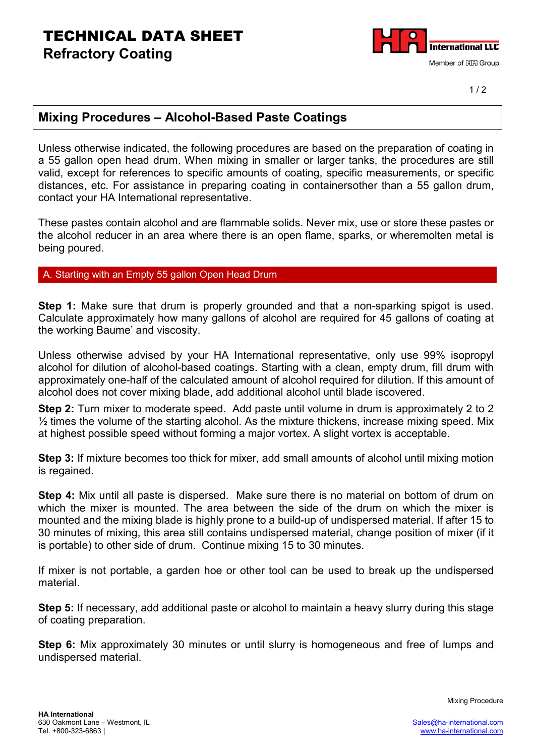## TECHNICAL DATA SHEET **Refractory Coating**



 $1/2$ 

### **Mixing Procedures – Alcohol-Based Paste Coatings**

Unless otherwise indicated, the following procedures are based on the preparation of coating in a 55 gallon open head drum. When mixing in smaller or larger tanks, the procedures are still valid, except for references to specific amounts of coating, specific measurements, or specific distances, etc. For assistance in preparing coating in containersother than a 55 gallon drum, contact your HA International representative.

These pastes contain alcohol and are flammable solids. Never mix, use or store these pastes or the alcohol reducer in an area where there is an open flame, sparks, or wheremolten metal is being poured.

### A. Starting with an Empty 55 gallon Open Head Drum

**Step 1:** Make sure that drum is properly grounded and that a non-sparking spigot is used. Calculate approximately how many gallons of alcohol are required for 45 gallons of coating at the working Baume' and viscosity.

Unless otherwise advised by your HA International representative, only use 99% isopropyl alcohol for dilution of alcohol-based coatings. Starting with a clean, empty drum, fill drum with approximately one-half of the calculated amount of alcohol required for dilution. If this amount of alcohol does not cover mixing blade, add additional alcohol until blade iscovered.

**Step 2:** Turn mixer to moderate speed. Add paste until volume in drum is approximately 2 to 2  $\frac{1}{2}$  times the volume of the starting alcohol. As the mixture thickens, increase mixing speed. Mix at highest possible speed without forming a major vortex. A slight vortex is acceptable.

**Step 3:** If mixture becomes too thick for mixer, add small amounts of alcohol until mixing motion is regained.

**Step 4:** Mix until all paste is dispersed. Make sure there is no material on bottom of drum on which the mixer is mounted. The area between the side of the drum on which the mixer is mounted and the mixing blade is highly prone to a build-up of undispersed material. If after 15 to 30 minutes of mixing, this area still contains undispersed material, change position of mixer (if it is portable) to other side of drum. Continue mixing 15 to 30 minutes.

If mixer is not portable, a garden hoe or other tool can be used to break up the undispersed material.

**Step 5:** If necessary, add additional paste or alcohol to maintain a heavy slurry during this stage of coating preparation.

**Step 6:** Mix approximately 30 minutes or until slurry is homogeneous and free of lumps and undispersed material.

Mixing Procedure